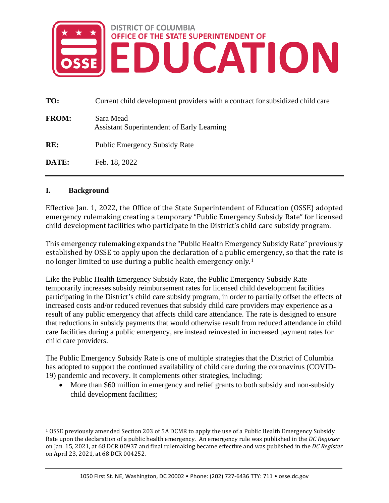

| TO:          | Current child development providers with a contract for subsidized child care |
|--------------|-------------------------------------------------------------------------------|
| <b>FROM:</b> | Sara Mead<br><b>Assistant Superintendent of Early Learning</b>                |
| RE:          | <b>Public Emergency Subsidy Rate</b>                                          |
| DATE:        | Feb. 18, 2022                                                                 |

### **I. Background**

Effective Jan. 1, 2022, the Office of the State Superintendent of Education (OSSE) adopted emergency rulemaking creating a temporary "Public Emergency Subsidy Rate" for licensed child development facilities who participate in the District's child care subsidy program.

This emergency rulemaking expands the "Public Health Emergency Subsidy Rate" previously established by OSSE to apply upon the declaration of a public e[m](#page-0-0)ergency, so that the rate is no longer limited to use during a public health emergency only.1

Like the Public Health Emergency Subsidy Rate, the Public Emergency Subsidy Rate temporarily increases subsidy reimbursement rates for licensed child development facilities participating in the District's child care subsidy program, in order to partially offset the effects of increased costs and/or reduced revenues that subsidy child care providers may experience as a result of any public emergency that affects child care attendance. The rate is designed to ensure that reductions in subsidy payments that would otherwise result from reduced attendance in child care facilities during a public emergency, are instead reinvested in increased payment rates for child care providers.

The Public Emergency Subsidy Rate is one of multiple strategies that the District of Columbia has adopted to support the continued availability of child care during the coronavirus (COVID-19) pandemic and recovery. It complements other strategies, including:

• More than \$60 million in emergency and relief grants to both subsidy and non-subsidy child development facilities;

<span id="page-0-0"></span><sup>1</sup> OSSE previously amended Section 203 of 5A DCMR to apply the use of a Public Health Emergency Subsidy Rate upon the declaration of a public health emergency. An emergency rule was published in the *DC Register* on Jan. 15, 2021, at 68 DCR 00937 and final rulemaking became effective and was published in the *DC Register* on April 23, 2021, at 68 DCR 004252.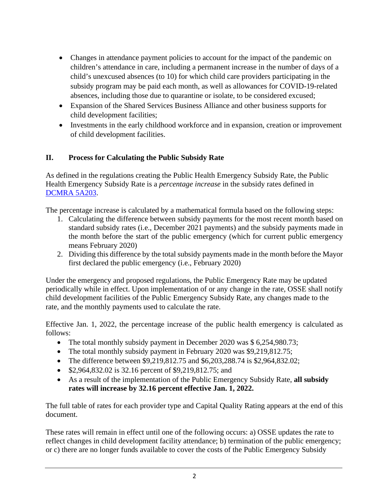- Changes in attendance payment policies to account for the impact of the pandemic on children's attendance in care, including a permanent increase in the number of days of a child's unexcused absences (to 10) for which child care providers participating in the subsidy program may be paid each month, as well as allowances for COVID-19-related absences, including those due to quarantine or isolate, to be considered excused;
- Expansion of the Shared Services Business Alliance and other business supports for child development facilities;
- Investments in the early childhood workforce and in expansion, creation or improvement of child development facilities.

## **II. Process for Calculating the Public Subsidy Rate**

As defined in the regulations creating the Public Health Emergency Subsidy Rate, the Public Health Emergency Subsidy Rate is a *percentage increase* in the subsidy rates defined in [DCMRA 5A203.](https://dcregs.dc.gov/Common/DCMR/RuleList.aspx?DownloadFile=%7b2A4233A2-F084-4DA1-941E-2A0CE09F5A01%7d)

The percentage increase is calculated by a mathematical formula based on the following steps:

- 1. Calculating the difference between subsidy payments for the most recent month based on standard subsidy rates (i.e., December 2021 payments) and the subsidy payments made in the month before the start of the public emergency (which for current public emergency means February 2020)
- 2. Dividing this difference by the total subsidy payments made in the month before the Mayor first declared the public emergency (i.e., February 2020)

Under the emergency and proposed regulations, the Public Emergency Rate may be updated periodically while in effect. Upon implementation of or any change in the rate, OSSE shall notify child development facilities of the Public Emergency Subsidy Rate, any changes made to the rate, and the monthly payments used to calculate the rate.

Effective Jan. 1, 2022, the percentage increase of the public health emergency is calculated as follows:

- The total monthly subsidy payment in December 2020 was \$ 6,254,980.73;
- The total monthly subsidy payment in February 2020 was \$9,219,812.75;
- The difference between \$9,219,812.75 and \$6,203,288.74 is \$2,964,832.02;
- \$2,964,832.02 is 32.16 percent of \$9,219,812.75; and
- As a result of the implementation of the Public Emergency Subsidy Rate, **all subsidy rates will increase by 32.16 percent effective Jan. 1, 2022.**

The full table of rates for each provider type and Capital Quality Rating appears at the end of this document.

These rates will remain in effect until one of the following occurs: a) OSSE updates the rate to reflect changes in child development facility attendance; b) termination of the public emergency; or c) there are no longer funds available to cover the costs of the Public Emergency Subsidy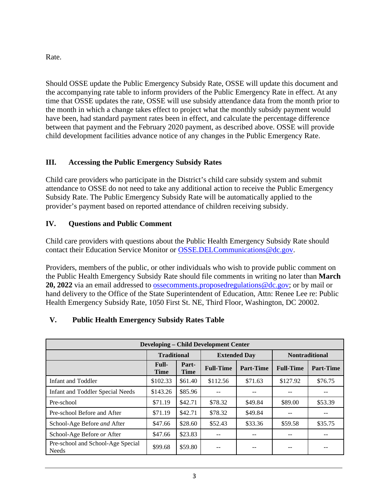Rate.

Should OSSE update the Public Emergency Subsidy Rate, OSSE will update this document and the accompanying rate table to inform providers of the Public Emergency Rate in effect. At any time that OSSE updates the rate, OSSE will use subsidy attendance data from the month prior to the month in which a change takes effect to project what the monthly subsidy payment would have been, had standard payment rates been in effect, and calculate the percentage difference between that payment and the February 2020 payment, as described above. OSSE will provide child development facilities advance notice of any changes in the Public Emergency Rate.

# **III. Accessing the Public Emergency Subsidy Rates**

Child care providers who participate in the District's child care subsidy system and submit attendance to OSSE do not need to take any additional action to receive the Public Emergency Subsidy Rate. The Public Emergency Subsidy Rate will be automatically applied to the provider's payment based on reported attendance of children receiving subsidy.

## **IV. Questions and Public Comment**

Child care providers with questions about the Public Health Emergency Subsidy Rate should contact their Education Service Monitor or [OSSE.DELCommunications@dc.gov.](mailto:OSSE.DELCommunications@dc.gov)

Providers, members of the public, or other individuals who wish to provide public comment on the Public Health Emergency Subsidy Rate should file comments in writing no later than **March 20, 2022** via an email addressed to [ossecomments.proposedregulations@dc.gov;](mailto:ossecomments.proposedregulations@dc.gov) or by mail or hand delivery to the Office of the State Superintendent of Education, Attn: Renee Lee re: Public Health Emergency Subsidy Rate, 1050 First St. NE, Third Floor, Washington, DC 20002.

# **V. Public Health Emergency Subsidy Rates Table**

| <b>Developing – Child Development Center</b>      |                             |                      |                  |                     |                       |                  |  |  |
|---------------------------------------------------|-----------------------------|----------------------|------------------|---------------------|-----------------------|------------------|--|--|
|                                                   |                             | <b>Traditional</b>   |                  | <b>Extended Day</b> | <b>Nontraditional</b> |                  |  |  |
|                                                   | <b>Full-</b><br><b>Time</b> | Part-<br><b>Time</b> | <b>Full-Time</b> | <b>Part-Time</b>    | <b>Full-Time</b>      | <b>Part-Time</b> |  |  |
| Infant and Toddler                                | \$102.33                    | \$61.40              | \$112.56         | \$71.63             | \$127.92              | \$76.75          |  |  |
| <b>Infant and Toddler Special Needs</b>           | \$143.26                    | \$85.96              |                  |                     |                       |                  |  |  |
| Pre-school                                        | \$71.19                     | \$42.71              | \$78.32          | \$49.84             | \$89.00               | \$53.39          |  |  |
| Pre-school Before and After                       | \$71.19                     | \$42.71              | \$78.32          | \$49.84             |                       |                  |  |  |
| School-Age Before and After                       | \$47.66                     | \$28.60              | \$52.43          | \$33.36             | \$59.58               | \$35.75          |  |  |
| School-Age Before or After                        | \$47.66                     | \$23.83              |                  |                     |                       |                  |  |  |
| Pre-school and School-Age Special<br><b>Needs</b> | \$99.68                     | \$59.80              | --               | --                  |                       |                  |  |  |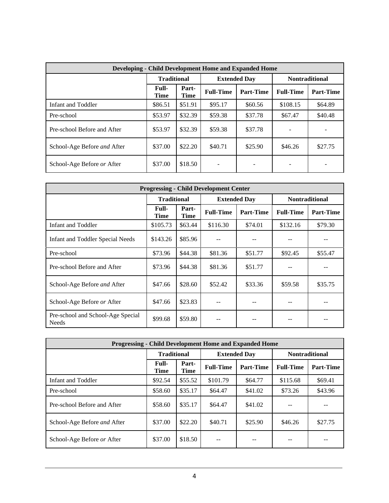| <b>Developing - Child Development Home and Expanded Home</b> |                      |               |                     |                  |                       |           |  |  |
|--------------------------------------------------------------|----------------------|---------------|---------------------|------------------|-----------------------|-----------|--|--|
|                                                              | <b>Traditional</b>   |               | <b>Extended Day</b> |                  | <b>Nontraditional</b> |           |  |  |
|                                                              | <b>Full-</b><br>Time | Part-<br>Time | <b>Full-Time</b>    | <b>Part-Time</b> | <b>Full-Time</b>      | Part-Time |  |  |
| Infant and Toddler                                           | \$86.51              | \$51.91       | \$95.17             | \$60.56          | \$108.15              | \$64.89   |  |  |
| Pre-school                                                   | \$53.97              | \$32.39       | \$59.38             | \$37.78          | \$67.47               | \$40.48   |  |  |
| Pre-school Before and After                                  | \$53.97              | \$32.39       | \$59.38             | \$37.78          |                       |           |  |  |
| School-Age Before and After                                  | \$37.00              | \$22.20       | \$40.71             | \$25.90          | \$46.26               | \$27.75   |  |  |
| School-Age Before or After                                   | \$37.00              | \$18.50       |                     |                  |                       |           |  |  |

| <b>Progressing - Child Development Center</b>     |               |                      |                  |                     |                       |                  |  |  |
|---------------------------------------------------|---------------|----------------------|------------------|---------------------|-----------------------|------------------|--|--|
|                                                   |               | <b>Traditional</b>   |                  | <b>Extended Day</b> | <b>Nontraditional</b> |                  |  |  |
|                                                   | Full-<br>Time | Part-<br><b>Time</b> | <b>Full-Time</b> | <b>Part-Time</b>    | <b>Full-Time</b>      | <b>Part-Time</b> |  |  |
| Infant and Toddler                                | \$105.73      | \$63.44              | \$116.30         | \$74.01             | \$132.16              | \$79.30          |  |  |
| <b>Infant and Toddler Special Needs</b>           | \$143.26      | \$85.96              |                  |                     |                       |                  |  |  |
| Pre-school                                        | \$73.96       | \$44.38              | \$81.36          | \$51.77             | \$92.45               | \$55.47          |  |  |
| Pre-school Before and After                       | \$73.96       | \$44.38              | \$81.36          | \$51.77             |                       |                  |  |  |
| School-Age Before and After                       | \$47.66       | \$28.60              | \$52.42          | \$33.36             | \$59.58               | \$35.75          |  |  |
| School-Age Before or After                        | \$47.66       | \$23.83              |                  |                     |                       |                  |  |  |
| Pre-school and School-Age Special<br><b>Needs</b> | \$99.68       | \$59.80              |                  |                     |                       |                  |  |  |

| <b>Progressing - Child Development Home and Expanded Home</b> |                             |                      |                  |                     |                       |                  |  |  |
|---------------------------------------------------------------|-----------------------------|----------------------|------------------|---------------------|-----------------------|------------------|--|--|
|                                                               |                             | <b>Traditional</b>   |                  | <b>Extended Day</b> | <b>Nontraditional</b> |                  |  |  |
|                                                               | <b>Full-</b><br><b>Time</b> | Part-<br><b>Time</b> | <b>Full-Time</b> | <b>Part-Time</b>    | <b>Full-Time</b>      | <b>Part-Time</b> |  |  |
| Infant and Toddler                                            | \$92.54                     | \$55.52              | \$101.79         | \$64.77             | \$115.68              | \$69.41          |  |  |
| Pre-school                                                    | \$58.60                     | \$35.17              | \$64.47          | \$41.02             | \$73.26               | \$43.96          |  |  |
| Pre-school Before and After                                   | \$58.60                     | \$35.17              | \$64.47          | \$41.02             |                       |                  |  |  |
| School-Age Before and After                                   | \$37.00                     | \$22.20              | \$40.71          | \$25.90             | \$46.26               | \$27.75          |  |  |
| School-Age Before or After                                    | \$37.00                     | \$18.50              | --               | --                  |                       |                  |  |  |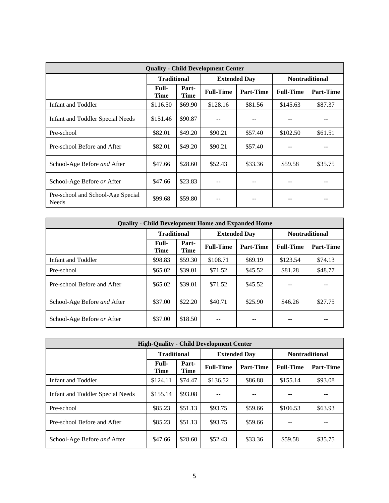| <b>Quality - Child Development Center</b>  |                             |                      |                  |                     |                       |                  |  |  |
|--------------------------------------------|-----------------------------|----------------------|------------------|---------------------|-----------------------|------------------|--|--|
|                                            |                             | <b>Traditional</b>   |                  | <b>Extended Day</b> | <b>Nontraditional</b> |                  |  |  |
|                                            | <b>Full-</b><br><b>Time</b> | Part-<br><b>Time</b> | <b>Full-Time</b> | <b>Part-Time</b>    | <b>Full-Time</b>      | <b>Part-Time</b> |  |  |
| Infant and Toddler                         | \$116.50                    | \$69.90              | \$128.16         | \$81.56             | \$145.63              | \$87.37          |  |  |
| <b>Infant and Toddler Special Needs</b>    | \$151.46                    | \$90.87              |                  |                     |                       |                  |  |  |
| Pre-school                                 | \$82.01                     | \$49.20              | \$90.21          | \$57.40             | \$102.50              | \$61.51          |  |  |
| Pre-school Before and After                | \$82.01                     | \$49.20              | \$90.21          | \$57.40             |                       |                  |  |  |
| School-Age Before and After                | \$47.66                     | \$28.60              | \$52.43          | \$33.36             | \$59.58               | \$35.75          |  |  |
| School-Age Before or After                 | \$47.66                     | \$23.83              |                  |                     |                       |                  |  |  |
| Pre-school and School-Age Special<br>Needs | \$99.68                     | \$59.80              |                  |                     |                       |                  |  |  |

| <b>Quality - Child Development Home and Expanded Home</b> |               |                      |                  |                     |                       |                  |  |  |
|-----------------------------------------------------------|---------------|----------------------|------------------|---------------------|-----------------------|------------------|--|--|
|                                                           |               | <b>Traditional</b>   |                  | <b>Extended Day</b> | <b>Nontraditional</b> |                  |  |  |
|                                                           | Full-<br>Time | Part-<br><b>Time</b> | <b>Full-Time</b> | <b>Part-Time</b>    | <b>Full-Time</b>      | <b>Part-Time</b> |  |  |
| Infant and Toddler                                        | \$98.83       | \$59.30              | \$108.71         | \$69.19             | \$123.54              | \$74.13          |  |  |
| Pre-school                                                | \$65.02       | \$39.01              | \$71.52          | \$45.52             | \$81.28               | \$48.77          |  |  |
| Pre-school Before and After                               | \$65.02       | \$39.01              | \$71.52          | \$45.52             |                       |                  |  |  |
| School-Age Before and After                               | \$37.00       | \$22.20              | \$40.71          | \$25.90             | \$46.26               | \$27.75          |  |  |
| School-Age Before or After                                | \$37.00       | \$18.50              |                  | --                  |                       |                  |  |  |

| <b>High-Ouality - Child Development Center</b> |                      |                      |                  |                     |                       |                  |  |  |
|------------------------------------------------|----------------------|----------------------|------------------|---------------------|-----------------------|------------------|--|--|
|                                                |                      | <b>Traditional</b>   |                  | <b>Extended Day</b> | <b>Nontraditional</b> |                  |  |  |
|                                                | Full-<br><b>Time</b> | Part-<br><b>Time</b> | <b>Full-Time</b> | Part-Time           | <b>Full-Time</b>      | <b>Part-Time</b> |  |  |
| Infant and Toddler                             | \$124.11             | \$74.47              | \$136.52         | \$86.88             | \$155.14              | \$93.08          |  |  |
| Infant and Toddler Special Needs               | \$155.14             | \$93.08              | --               | --                  |                       | --               |  |  |
| Pre-school                                     | \$85.23              | \$51.13              | \$93.75          | \$59.66             | \$106.53              | \$63.93          |  |  |
| Pre-school Before and After                    | \$85.23              | \$51.13              | \$93.75          | \$59.66             | --                    | --               |  |  |
| School-Age Before and After                    | \$47.66              | \$28.60              | \$52.43          | \$33.36             | \$59.58               | \$35.75          |  |  |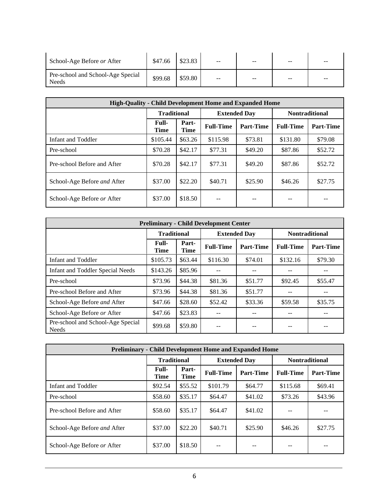| School-Age Before or After                        | \$47.66 | \$23.83 | $ -$ | $-$   | -- | $ -$ |
|---------------------------------------------------|---------|---------|------|-------|----|------|
| Pre-school and School-Age Special<br><b>Needs</b> | \$99.68 | \$59.80 | $ -$ | $- -$ | -- | $ -$ |

| High-Quality - Child Development Home and Expanded Home |                      |                      |                  |                     |                       |                  |  |  |
|---------------------------------------------------------|----------------------|----------------------|------------------|---------------------|-----------------------|------------------|--|--|
|                                                         |                      | <b>Traditional</b>   |                  | <b>Extended Day</b> | <b>Nontraditional</b> |                  |  |  |
|                                                         | Full-<br><b>Time</b> | Part-<br><b>Time</b> | <b>Full-Time</b> | <b>Part-Time</b>    | <b>Full-Time</b>      | <b>Part-Time</b> |  |  |
| Infant and Toddler                                      | \$105.44             | \$63.26              | \$115.98         | \$73.81             | \$131.80              | \$79.08          |  |  |
| Pre-school                                              | \$70.28              | \$42.17              | \$77.31          | \$49.20             | \$87.86               | \$52.72          |  |  |
| Pre-school Before and After                             | \$70.28              | \$42.17              | \$77.31          | \$49.20             | \$87.86               | \$52.72          |  |  |
| School-Age Before and After                             | \$37.00              | \$22.20              | \$40.71          | \$25.90             | \$46.26               | \$27.75          |  |  |
| School-Age Before or After                              | \$37.00              | \$18.50              |                  | --                  |                       |                  |  |  |

| <b>Preliminary - Child Development Center</b>     |                             |                      |                     |                  |                       |           |  |  |
|---------------------------------------------------|-----------------------------|----------------------|---------------------|------------------|-----------------------|-----------|--|--|
|                                                   | <b>Traditional</b>          |                      | <b>Extended Day</b> |                  | <b>Nontraditional</b> |           |  |  |
|                                                   | <b>Full-</b><br><b>Time</b> | Part-<br><b>Time</b> | <b>Full-Time</b>    | <b>Part-Time</b> | <b>Full-Time</b>      | Part-Time |  |  |
| Infant and Toddler                                | \$105.73                    | \$63.44              | \$116.30            | \$74.01          | \$132.16              | \$79.30   |  |  |
| <b>Infant and Toddler Special Needs</b>           | \$143.26                    | \$85.96              |                     | --               |                       | --        |  |  |
| Pre-school                                        | \$73.96                     | \$44.38              | \$81.36             | \$51.77          | \$92.45               | \$55.47   |  |  |
| Pre-school Before and After                       | \$73.96                     | \$44.38              | \$81.36             | \$51.77          |                       | $- -$     |  |  |
| School-Age Before and After                       | \$47.66                     | \$28.60              | \$52.42             | \$33.36          | \$59.58               | \$35.75   |  |  |
| School-Age Before or After                        | \$47.66                     | \$23.83              |                     |                  |                       |           |  |  |
| Pre-school and School-Age Special<br><b>Needs</b> | \$99.68                     | \$59.80              | $- -$               | --               | --                    | --        |  |  |

| <b>Preliminary - Child Development Home and Expanded Home</b> |               |                      |                  |                     |                  |                       |  |  |
|---------------------------------------------------------------|---------------|----------------------|------------------|---------------------|------------------|-----------------------|--|--|
|                                                               |               | <b>Traditional</b>   |                  | <b>Extended Dav</b> |                  | <b>Nontraditional</b> |  |  |
|                                                               | Full-<br>Time | Part-<br><b>Time</b> | <b>Full-Time</b> | <b>Part-Time</b>    | <b>Full-Time</b> | Part-Time             |  |  |
| Infant and Toddler                                            | \$92.54       | \$55.52              | \$101.79         | \$64.77             | \$115.68         | \$69.41               |  |  |
| Pre-school                                                    | \$58.60       | \$35.17              | \$64.47          | \$41.02             | \$73.26          | \$43.96               |  |  |
| Pre-school Before and After                                   | \$58.60       | \$35.17              | \$64.47          | \$41.02             |                  |                       |  |  |
| School-Age Before and After                                   | \$37.00       | \$22.20              | \$40.71          | \$25.90             | \$46.26          | \$27.75               |  |  |
| School-Age Before or After                                    | \$37.00       | \$18.50              |                  |                     |                  |                       |  |  |